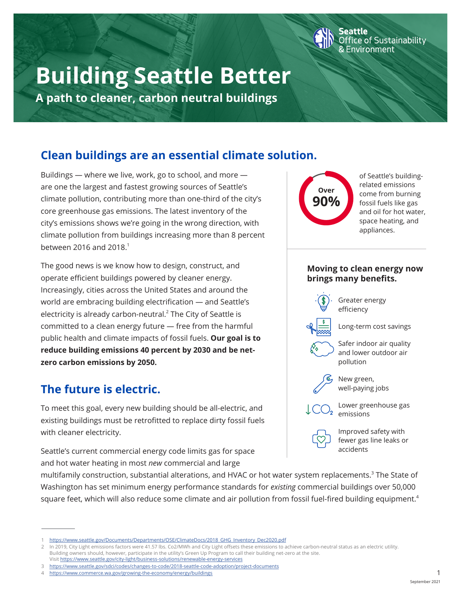# **Building Seattle Better**

**A path to cleaner, carbon neutral buildings**

# **Clean buildings are an essential climate solution.**

Buildings — where we live, work, go to school, and more are one the largest and fastest growing sources of Seattle's climate pollution, contributing more than one-third of the city's core greenhouse gas emissions. The latest inventory of the city's emissions shows we're going in the wrong direction, with climate pollution from buildings increasing more than 8 percent between 2016 and 2018.1

The good news is we know how to design, construct, and operate efficient buildings powered by cleaner energy. Increasingly, cities across the United States and around the world are embracing building electrification — and Seattle's electricity is already carbon-neutral.<sup>2</sup> The City of Seattle is committed to a clean energy future — free from the harmful public health and climate impacts of fossil fuels. **Our goal is to reduce building emissions 40 percent by 2030 and be netzero carbon emissions by 2050.**

# **The future is electric.**

To meet this goal, every new building should be all-electric, and existing buildings must be retrofitted to replace dirty fossil fuels with cleaner electricity.

Seattle's current commercial energy code limits gas for space and hot water heating in most *new* commercial and large

**Over 90%**

of Seattle's buildingrelated emissions come from burning fossil fuels like gas and oil for hot water, space heating, and appliances.

fice of Sustainability<sup>:</sup>

Environment

## **Moving to clean energy now brings many benefits.**



Greater energy efficiency

Long-term cost savings



Safer indoor air quality and lower outdoor air pollution



New green, well-paying jobs

Lower greenhouse gas emissions

Improved safety with fewer gas line leaks or accidents

multifamily construction, substantial alterations, and HVAC or hot water system replacements.<sup>3</sup> The State of Washington has set minimum energy performance standards for *existing* commercial buildings over 50,000 square feet, which will also reduce some climate and air pollution from fossil fuel-fired building equipment.<sup>4</sup>

<sup>1</sup> https://www.seattle.gov/Documents/Departments/OSE/ClimateDocs/2018\_GHG\_Inventory\_Dec2020.pdf

<sup>2</sup> In 2019, City Light emissions factors were 41.57 lbs. Co2/MWh and City Light offsets these emissions to achieve carbon-neutral status as an electric utility. Building owners should, however, participate in the utility's Green Up Program to call their building net-zero at the site.

Visit https://www.seattle.gov/city-light/business-solutions/renewable-energy-services

<sup>3</sup> https://www.seattle.gov/sdci/codes/changes-to-code/2018-seattle-code-adoption/project-documents 4 https://www.commerce.wa.gov/growing-the-economy/energy/buildings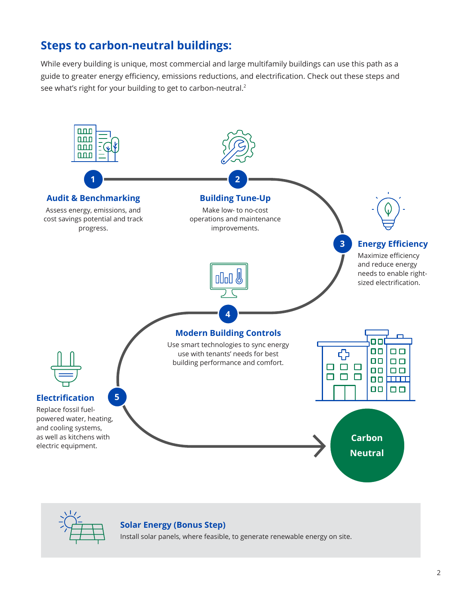# **Steps to carbon-neutral buildings:**

While every building is unique, most commercial and large multifamily buildings can use this path as a guide to greater energy efficiency, emissions reductions, and electrification. Check out these steps and see what's right for your building to get to carbon-neutral.<sup>2</sup>





# **Solar Energy (Bonus Step)**

Install solar panels, where feasible, to generate renewable energy on site.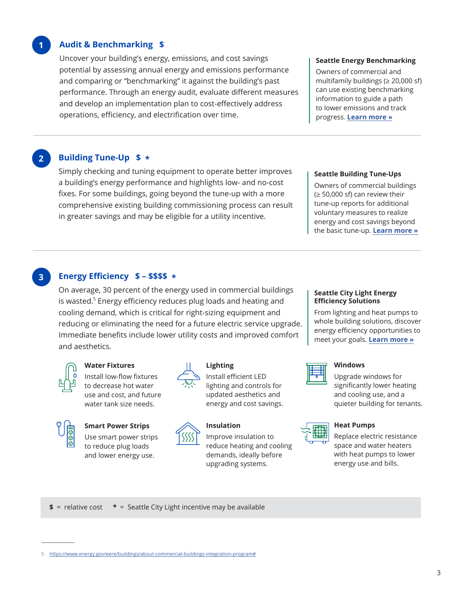### **Audit & Benchmarking \$**

**1**

Uncover your building's energy, emissions, and cost savings potential by assessing annual energy and emissions performance and comparing or "benchmarking" it against the building's past performance. Through an energy audit, evaluate different measures and develop an implementation plan to cost-effectively address operations, efficiency, and electrification over time.

#### **Seattle Energy Benchmarking**

Owners of commercial and multifamily buildings ( $\geq 20,000$  sf) can use existing benchmarking information to guide a path to lower emissions and track progress. **Learn more »**

# **2 Building Tune-Up \$ \***

Simply checking and tuning equipment to operate better improves a building's energy performance and highlights low- and no-cost fixes. For some buildings, going beyond the tune-up with a more comprehensive existing building commissioning process can result in greater savings and may be eligible for a utility incentive.

#### **Seattle Building Tune-Ups**

Owners of commercial buildings  $(\geq 50,000 \text{ sf})$  can review their tune-up reports for additional voluntary measures to realize energy and cost savings beyond the basic tune-up. **Learn more »**

### **3 Energy Efficiency \$ – \$\$\$\$ \***

On average, 30 percent of the energy used in commercial buildings is wasted.<sup>5</sup> Energy efficiency reduces plug loads and heating and cooling demand, which is critical for right-sizing equipment and reducing or eliminating the need for a future electric service upgrade. Immediate benefits include lower utility costs and improved comfort and aesthetics.



### **Water Fixtures**

Install low-flow fixtures to decrease hot water use and cost, and future water tank size needs.

#### **Smart Power Strips**

Use smart power strips to reduce plug loads and lower energy use.



#### **Lighting**

Install efficient LED lighting and controls for updated aesthetics and energy and cost savings.

#### **Insulation**

Improve insulation to reduce heating and cooling demands, ideally before upgrading systems.

#### **Seattle City Light Energy Efficiency Solutions**

From lighting and heat pumps to whole building solutions, discover energy efficiency opportunities to meet your goals. **Learn more »**



#### **Windows**

Upgrade windows for significantly lower heating and cooling use, and a quieter building for tenants.



#### **Heat Pumps**

Replace electric resistance space and water heaters with heat pumps to lower energy use and bills.

**\$** = relative cost **\*** = Seattle City Light incentive may be available

<sup>5</sup> https://www.energy.gov/eere/buildings/about-commercial-buildings-integration-program#